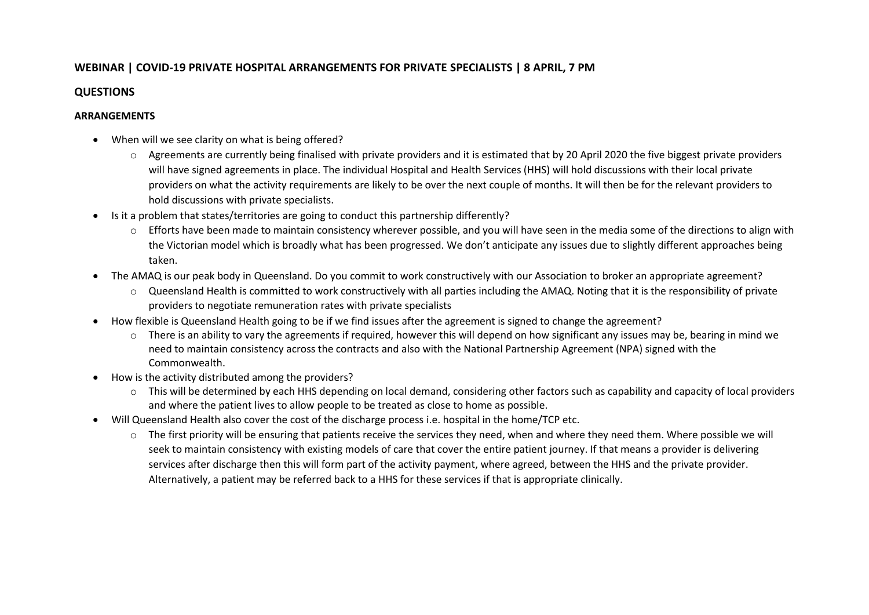# **WEBINAR | COVID-19 PRIVATE HOSPITAL ARRANGEMENTS FOR PRIVATE SPECIALISTS | 8 APRIL, 7 PM**

## **QUESTIONS**

### **ARRANGEMENTS**

- When will we see clarity on what is being offered?
	- $\circ$  Agreements are currently being finalised with private providers and it is estimated that by 20 April 2020 the five biggest private providers will have signed agreements in place. The individual Hospital and Health Services (HHS) will hold discussions with their local private providers on what the activity requirements are likely to be over the next couple of months. It will then be for the relevant providers to hold discussions with private specialists.
- Is it a problem that states/territories are going to conduct this partnership differently?
	- o Efforts have been made to maintain consistency wherever possible, and you will have seen in the media some of the directions to align with the Victorian model which is broadly what has been progressed. We don't anticipate any issues due to slightly different approaches being taken.
- The AMAQ is our peak body in Queensland. Do you commit to work constructively with our Association to broker an appropriate agreement?
	- o Queensland Health is committed to work constructively with all parties including the AMAQ. Noting that it is the responsibility of private providers to negotiate remuneration rates with private specialists
- How flexible is Queensland Health going to be if we find issues after the agreement is signed to change the agreement?
	- o There is an ability to vary the agreements if required, however this will depend on how significant any issues may be, bearing in mind we need to maintain consistency across the contracts and also with the National Partnership Agreement (NPA) signed with the Commonwealth.
- How is the activity distributed among the providers?
	- o This will be determined by each HHS depending on local demand, considering other factors such as capability and capacity of local providers and where the patient lives to allow people to be treated as close to home as possible.
- Will Queensland Health also cover the cost of the discharge process i.e. hospital in the home/TCP etc.
	- $\circ$  The first priority will be ensuring that patients receive the services they need, when and where they need them. Where possible we will seek to maintain consistency with existing models of care that cover the entire patient journey. If that means a provider is delivering services after discharge then this will form part of the activity payment, where agreed, between the HHS and the private provider. Alternatively, a patient may be referred back to a HHS for these services if that is appropriate clinically.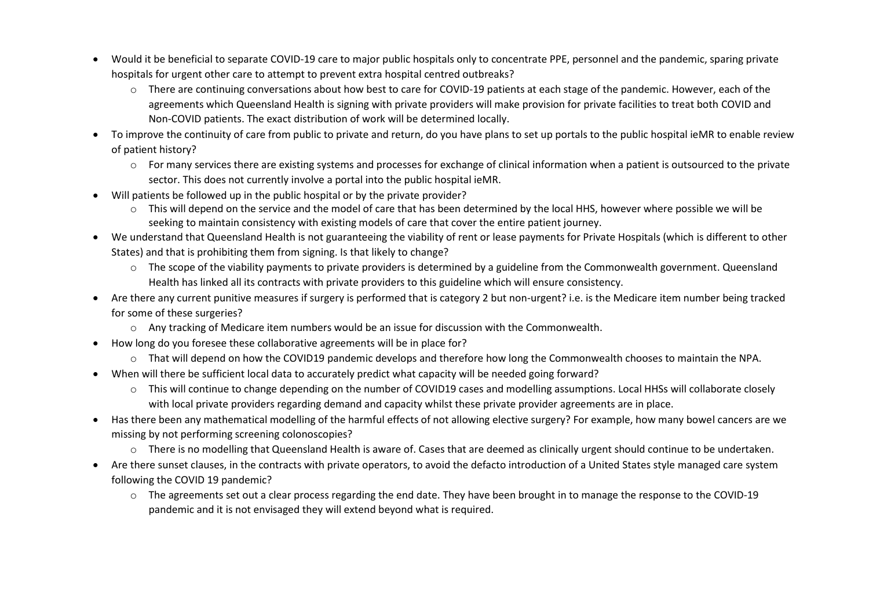- Would it be beneficial to separate COVID-19 care to major public hospitals only to concentrate PPE, personnel and the pandemic, sparing private hospitals for urgent other care to attempt to prevent extra hospital centred outbreaks?
	- o There are continuing conversations about how best to care for COVID-19 patients at each stage of the pandemic. However, each of the agreements which Queensland Health is signing with private providers will make provision for private facilities to treat both COVID and Non-COVID patients. The exact distribution of work will be determined locally.
- To improve the continuity of care from public to private and return, do you have plans to set up portals to the public hospital ieMR to enable review of patient history?
	- o For many services there are existing systems and processes for exchange of clinical information when a patient is outsourced to the private sector. This does not currently involve a portal into the public hospital ieMR.
- Will patients be followed up in the public hospital or by the private provider?
	- $\circ$  This will depend on the service and the model of care that has been determined by the local HHS, however where possible we will be seeking to maintain consistency with existing models of care that cover the entire patient journey.
- We understand that Queensland Health is not guaranteeing the viability of rent or lease payments for Private Hospitals (which is different to other States) and that is prohibiting them from signing. Is that likely to change?
	- o The scope of the viability payments to private providers is determined by a guideline from the Commonwealth government. Queensland Health has linked all its contracts with private providers to this guideline which will ensure consistency.
- Are there any current punitive measures if surgery is performed that is category 2 but non-urgent? i.e. is the Medicare item number being tracked for some of these surgeries?
	- o Any tracking of Medicare item numbers would be an issue for discussion with the Commonwealth.
- How long do you foresee these collaborative agreements will be in place for?
	- o That will depend on how the COVID19 pandemic develops and therefore how long the Commonwealth chooses to maintain the NPA.
- When will there be sufficient local data to accurately predict what capacity will be needed going forward?
	- o This will continue to change depending on the number of COVID19 cases and modelling assumptions. Local HHSs will collaborate closely with local private providers regarding demand and capacity whilst these private provider agreements are in place.
- Has there been any mathematical modelling of the harmful effects of not allowing elective surgery? For example, how many bowel cancers are we missing by not performing screening colonoscopies?
	- o There is no modelling that Queensland Health is aware of. Cases that are deemed as clinically urgent should continue to be undertaken.
- Are there sunset clauses, in the contracts with private operators, to avoid the defacto introduction of a United States style managed care system following the COVID 19 pandemic?
	- o The agreements set out a clear process regarding the end date. They have been brought in to manage the response to the COVID-19 pandemic and it is not envisaged they will extend beyond what is required.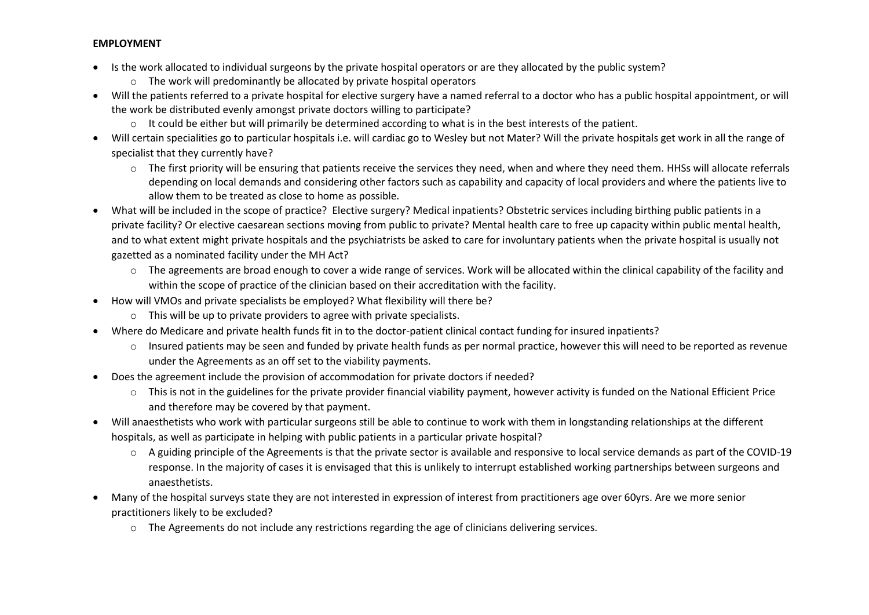### **EMPLOYMENT**

- Is the work allocated to individual surgeons by the private hospital operators or are they allocated by the public system?
	- o The work will predominantly be allocated by private hospital operators
- Will the patients referred to a private hospital for elective surgery have a named referral to a doctor who has a public hospital appointment, or will the work be distributed evenly amongst private doctors willing to participate?
	- $\circ$  It could be either but will primarily be determined according to what is in the best interests of the patient.
- Will certain specialities go to particular hospitals i.e. will cardiac go to Wesley but not Mater? Will the private hospitals get work in all the range of specialist that they currently have?
	- o The first priority will be ensuring that patients receive the services they need, when and where they need them. HHSs will allocate referrals depending on local demands and considering other factors such as capability and capacity of local providers and where the patients live to allow them to be treated as close to home as possible.
- What will be included in the scope of practice? Elective surgery? Medical inpatients? Obstetric services including birthing public patients in a private facility? Or elective caesarean sections moving from public to private? Mental health care to free up capacity within public mental health, and to what extent might private hospitals and the psychiatrists be asked to care for involuntary patients when the private hospital is usually not gazetted as a nominated facility under the MH Act?
	- o The agreements are broad enough to cover a wide range of services. Work will be allocated within the clinical capability of the facility and within the scope of practice of the clinician based on their accreditation with the facility.
- How will VMOs and private specialists be employed? What flexibility will there be?
	- o This will be up to private providers to agree with private specialists.
- Where do Medicare and private health funds fit in to the doctor-patient clinical contact funding for insured inpatients?
	- o Insured patients may be seen and funded by private health funds as per normal practice, however this will need to be reported as revenue under the Agreements as an off set to the viability payments.
- Does the agreement include the provision of accommodation for private doctors if needed?
	- $\circ$  This is not in the guidelines for the private provider financial viability payment, however activity is funded on the National Efficient Price and therefore may be covered by that payment.
- Will anaesthetists who work with particular surgeons still be able to continue to work with them in longstanding relationships at the different hospitals, as well as participate in helping with public patients in a particular private hospital?
	- $\circ$  A guiding principle of the Agreements is that the private sector is available and responsive to local service demands as part of the COVID-19 response. In the majority of cases it is envisaged that this is unlikely to interrupt established working partnerships between surgeons and anaesthetists.
- Many of the hospital surveys state they are not interested in expression of interest from practitioners age over 60yrs. Are we more senior practitioners likely to be excluded?
	- o The Agreements do not include any restrictions regarding the age of clinicians delivering services.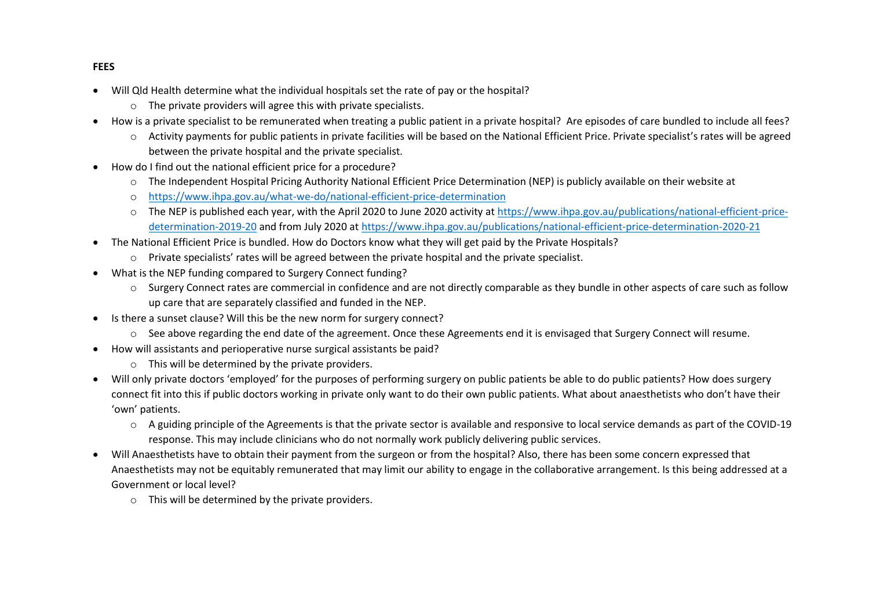- Will Qld Health determine what the individual hospitals set the rate of pay or the hospital?
	- $\circ$  The private providers will agree this with private specialists.
- How is a private specialist to be remunerated when treating a public patient in a private hospital? Are episodes of care bundled to include all fees?
	- o Activity payments for public patients in private facilities will be based on the National Efficient Price. Private specialist's rates will be agreed between the private hospital and the private specialist.
- How do I find out the national efficient price for a procedure?
	- o The Independent Hospital Pricing Authority National Efficient Price Determination (NEP) is publicly available on their website at
	- o <https://www.ihpa.gov.au/what-we-do/national-efficient-price-determination>
	- o The NEP is published each year, with the April 2020 to June 2020 activity at [https://www.ihpa.gov.au/publications/national-efficient-price](https://www.ihpa.gov.au/publications/national-efficient-price-determination-2019-20)[determination-2019-20](https://www.ihpa.gov.au/publications/national-efficient-price-determination-2019-20) and from July 2020 at<https://www.ihpa.gov.au/publications/national-efficient-price-determination-2020-21>
- The National Efficient Price is bundled. How do Doctors know what they will get paid by the Private Hospitals?
	- o Private specialists' rates will be agreed between the private hospital and the private specialist.
- What is the NEP funding compared to Surgery Connect funding?
	- $\circ$  Surgery Connect rates are commercial in confidence and are not directly comparable as they bundle in other aspects of care such as follow up care that are separately classified and funded in the NEP.
- Is there a sunset clause? Will this be the new norm for surgery connect?
	- o See above regarding the end date of the agreement. Once these Agreements end it is envisaged that Surgery Connect will resume.
- How will assistants and perioperative nurse surgical assistants be paid?
	- o This will be determined by the private providers.
- Will only private doctors 'employed' for the purposes of performing surgery on public patients be able to do public patients? How does surgery connect fit into this if public doctors working in private only want to do their own public patients. What about anaesthetists who don't have their 'own' patients.
	- o A guiding principle of the Agreements is that the private sector is available and responsive to local service demands as part of the COVID-19 response. This may include clinicians who do not normally work publicly delivering public services.
- Will Anaesthetists have to obtain their payment from the surgeon or from the hospital? Also, there has been some concern expressed that Anaesthetists may not be equitably remunerated that may limit our ability to engage in the collaborative arrangement. Is this being addressed at a Government or local level?
	- o This will be determined by the private providers.

# **FEES**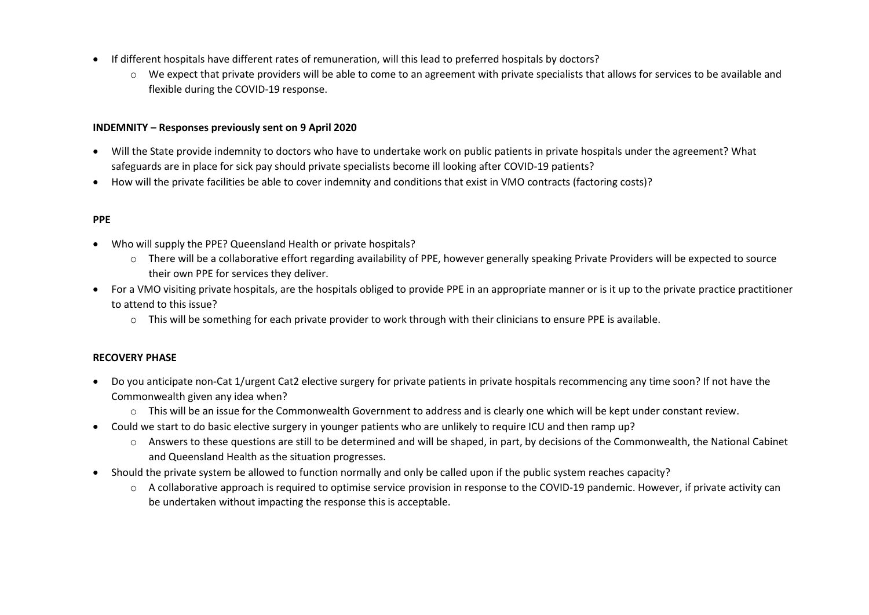- If different hospitals have different rates of remuneration, will this lead to preferred hospitals by doctors?
	- o We expect that private providers will be able to come to an agreement with private specialists that allows for services to be available and flexible during the COVID-19 response.

### **INDEMNITY – Responses previously sent on 9 April 2020**

- Will the State provide indemnity to doctors who have to undertake work on public patients in private hospitals under the agreement? What safeguards are in place for sick pay should private specialists become ill looking after COVID-19 patients?
- How will the private facilities be able to cover indemnity and conditions that exist in VMO contracts (factoring costs)?

### **PPE**

- Who will supply the PPE? Queensland Health or private hospitals?
	- o There will be a collaborative effort regarding availability of PPE, however generally speaking Private Providers will be expected to source their own PPE for services they deliver.
- For a VMO visiting private hospitals, are the hospitals obliged to provide PPE in an appropriate manner or is it up to the private practice practitioner to attend to this issue?
	- o This will be something for each private provider to work through with their clinicians to ensure PPE is available.

### **RECOVERY PHASE**

- Do you anticipate non-Cat 1/urgent Cat2 elective surgery for private patients in private hospitals recommencing any time soon? If not have the Commonwealth given any idea when?
	- o This will be an issue for the Commonwealth Government to address and is clearly one which will be kept under constant review.
- Could we start to do basic elective surgery in younger patients who are unlikely to require ICU and then ramp up?
	- o Answers to these questions are still to be determined and will be shaped, in part, by decisions of the Commonwealth, the National Cabinet and Queensland Health as the situation progresses.
- Should the private system be allowed to function normally and only be called upon if the public system reaches capacity?
	- $\circ$  A collaborative approach is required to optimise service provision in response to the COVID-19 pandemic. However, if private activity can be undertaken without impacting the response this is acceptable.